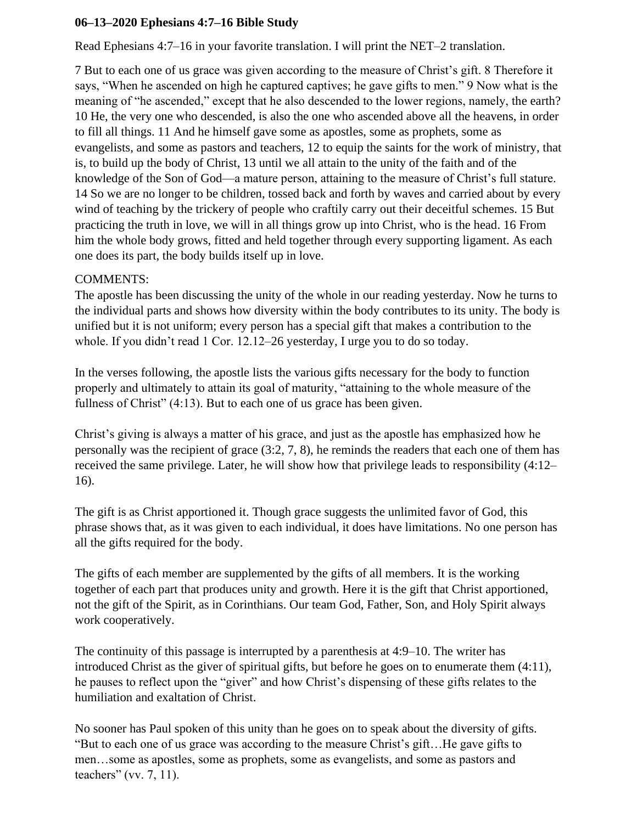## **06–13–2020 Ephesians 4:7–16 Bible Study**

Read Ephesians 4:7–16 in your favorite translation. I will print the NET–2 translation.

7 But to each one of us grace was given according to the measure of Christ's gift. 8 Therefore it says, "When he ascended on high he captured captives; he gave gifts to men." 9 Now what is the meaning of "he ascended," except that he also descended to the lower regions, namely, the earth? 10 He, the very one who descended, is also the one who ascended above all the heavens, in order to fill all things. 11 And he himself gave some as apostles, some as prophets, some as evangelists, and some as pastors and teachers, 12 to equip the saints for the work of ministry, that is, to build up the body of Christ, 13 until we all attain to the unity of the faith and of the knowledge of the Son of God—a mature person, attaining to the measure of Christ's full stature. 14 So we are no longer to be children, tossed back and forth by waves and carried about by every wind of teaching by the trickery of people who craftily carry out their deceitful schemes. 15 But practicing the truth in love, we will in all things grow up into Christ, who is the head. 16 From him the whole body grows, fitted and held together through every supporting ligament. As each one does its part, the body builds itself up in love.

## COMMENTS:

The apostle has been discussing the unity of the whole in our reading yesterday. Now he turns to the individual parts and shows how diversity within the body contributes to its unity. The body is unified but it is not uniform; every person has a special gift that makes a contribution to the whole. If you didn't read 1 Cor. 12.12–26 yesterday, I urge you to do so today.

In the verses following, the apostle lists the various gifts necessary for the body to function properly and ultimately to attain its goal of maturity, "attaining to the whole measure of the fullness of Christ" (4:13). But to each one of us grace has been given.

Christ's giving is always a matter of his grace, and just as the apostle has emphasized how he personally was the recipient of grace (3:2, 7, 8), he reminds the readers that each one of them has received the same privilege. Later, he will show how that privilege leads to responsibility (4:12– 16).

The gift is as Christ apportioned it. Though grace suggests the unlimited favor of God, this phrase shows that, as it was given to each individual, it does have limitations. No one person has all the gifts required for the body.

The gifts of each member are supplemented by the gifts of all members. It is the working together of each part that produces unity and growth. Here it is the gift that Christ apportioned, not the gift of the Spirit, as in Corinthians. Our team God, Father, Son, and Holy Spirit always work cooperatively.

The continuity of this passage is interrupted by a parenthesis at 4:9–10. The writer has introduced Christ as the giver of spiritual gifts, but before he goes on to enumerate them (4:11), he pauses to reflect upon the "giver" and how Christ's dispensing of these gifts relates to the humiliation and exaltation of Christ.

No sooner has Paul spoken of this unity than he goes on to speak about the diversity of gifts. "But to each one of us grace was according to the measure Christ's gift…He gave gifts to men…some as apostles, some as prophets, some as evangelists, and some as pastors and teachers" (vv. 7, 11).